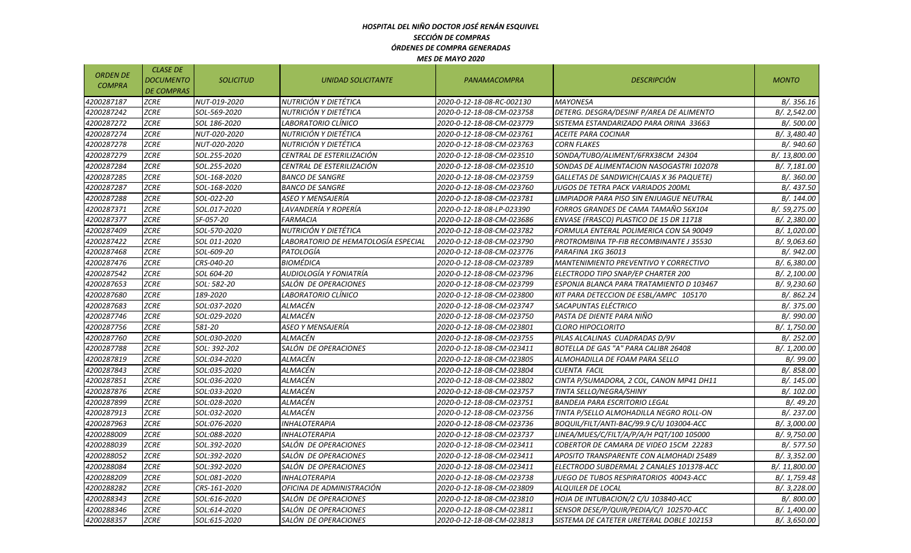#### *HOSPITAL DEL NIÑO DOCTOR JOSÉ RENÁN ESQUIVEL SECCIÓN DE COMPRAS ÓRDENES DE COMPRA GENERADAS MES DE MAYO 2020*

| <b>ORDEN DE</b><br><b>COMPRA</b> | <b>CLASE DE</b><br><b>DOCUMENTO</b><br><b>DE COMPRAS</b> | <b>SOLICITUD</b> | UNIDAD SOLICITANTE                  | PANAMACOMPRA              | <b>DESCRIPCIÓN</b>                       | <b>MONTO</b>  |
|----------------------------------|----------------------------------------------------------|------------------|-------------------------------------|---------------------------|------------------------------------------|---------------|
| 4200287187                       | ZCRE                                                     | NUT-019-2020     | NUTRICIÓN Y DIETÉTICA               | 2020-0-12-18-08-RC-002130 | <b>MAYONESA</b>                          | B/.356.16     |
| 4200287242                       | <b>ZCRE</b>                                              | SOL-569-2020     | NUTRICIÓN Y DIETÉTICA               | 2020-0-12-18-08-CM-023758 | DETERG. DESGRA/DESINF P/AREA DE ALIMENTO | B/. 2,542.00  |
| 4200287272                       | ZCRE                                                     | SOL 186-2020     | LABORATORIO CLÍNICO                 | 2020-0-12-18-08-CM-023779 | SISTEMA ESTANDARIZADO PARA ORINA  33663  | B/. 500.00    |
| 4200287274                       | <b>ZCRE</b>                                              | NUT-020-2020     | NUTRICIÓN Y DIETÉTICA               | 2020-0-12-18-08-CM-023761 | ACEITE PARA COCINAR                      | B/. 3,480.40  |
| 4200287278                       | <b>ZCRE</b>                                              | NUT-020-2020     | NUTRICIÓN Y DIETÉTICA               | 2020-0-12-18-08-CM-023763 | <b>CORN FLAKES</b>                       | B/. 940.60    |
| 4200287279                       | <b>ZCRE</b>                                              | SOL.255-2020     | CENTRAL DE ESTERILIZACIÓN           | 2020-0-12-18-08-CM-023510 | SONDA/TUBO/ALIMENT/6FRX38CM 24304        | B/. 13,800.00 |
| 4200287284                       | ZCRE                                                     | SOL.255-2020     | CENTRAL DE ESTERILIZACIÓN           | 2020-0-12-18-08-CM-023510 | SONDAS DE ALIMENTACION NASOGASTRI 102078 | B/. 7,181.00  |
| 4200287285                       | <b>ZCRE</b>                                              | SOL-168-2020     | <b>BANCO DE SANGRE</b>              | 2020-0-12-18-08-CM-023759 | GALLETAS DE SANDWICH(CAJAS X 36 PAQUETE) | B/. 360.00    |
| 4200287287                       | <b>ZCRE</b>                                              | SOL-168-2020     | <b>BANCO DE SANGRE</b>              | 2020-0-12-18-08-CM-023760 | JUGOS DE TETRA PACK VARIADOS 200ML       | B/. 437.50    |
| 4200287288                       | <b>ZCRE</b>                                              | SOL-022-20       | ASEO Y MENSAJERÍA                   | 2020-0-12-18-08-CM-023781 | LIMPIADOR PARA PISO SIN ENJUAGUE NEUTRAL | B/. 144.00    |
| 4200287371                       | <b>ZCRE</b>                                              | SOL.017-2020     | LAVANDERÍA Y ROPERÍA                | 2020-0-12-18-08-LP-023390 | FORROS GRANDES DE CAMA TAMAÑO 56X104     | B/. 59,275.00 |
| 4200287377                       | <b>ZCRE</b>                                              | SF-057-20        | <b>FARMACIA</b>                     | 2020-0-12-18-08-CM-023686 | ENVASE (FRASCO) PLASTICO DE 15 DR 11718  | B/. 2,380.00  |
| 4200287409                       | <b>ZCRE</b>                                              | SOL-570-2020     | NUTRICIÓN Y DIETÉTICA               | 2020-0-12-18-08-CM-023782 | FORMULA ENTERAL POLIMERICA CON SA 90049  | B/. 1,020.00  |
| 4200287422                       | <b>ZCRE</b>                                              | SOL 011-2020     | LABORATORIO DE HEMATOLOGÍA ESPECIAL | 2020-0-12-18-08-CM-023790 | PROTROMBINA TP-FIB RECOMBINANTE J 35530  | B/. 9,063.60  |
| 4200287468                       | ZCRE                                                     | SOL-609-20       | PATOLOGÍA                           | 2020-0-12-18-08-CM-023776 | PARAFINA 1KG 36013                       | B/. 942.00    |
| 4200287476                       | <b>ZCRE</b>                                              | CRS-040-20       | <b>BIOMÉDICA</b>                    | 2020-0-12-18-08-CM-023789 | MANTENIMIENTO PREVENTIVO Y CORRECTIVO    | B/. 6,380.00  |
| 4200287542                       | <b>ZCRE</b>                                              | SOL 604-20       | AUDIOLOGÍA Y FONIATRÍA              | 2020-0-12-18-08-CM-023796 | ELECTRODO TIPO SNAP/EP CHARTER 200       | B/. 2,100.00  |
| 4200287653                       | <b>ZCRE</b>                                              | SOL: 582-20      | SALÓN DE OPERACIONES                | 2020-0-12-18-08-CM-023799 | ESPONJA BLANCA PARA TRATAMIENTO D 103467 | B/. 9,230.60  |
| 4200287680                       | <b>ZCRE</b>                                              | 189-2020         | LABORATORIO CLÍNICO                 | 2020-0-12-18-08-CM-023800 | KIT PARA DETECCION DE ESBL/AMPC 105170   | B/. 862.24    |
| 4200287683                       | <b>ZCRE</b>                                              | SOL:037-2020     | ALMACÉN                             | 2020-0-12-18-08-CM-023747 | SACAPUNTAS ELÉCTRICO                     | B/. 375.00    |
| 4200287746                       | <b>ZCRE</b>                                              | SOL:029-2020     | ALMACÉN                             | 2020-0-12-18-08-CM-023750 | PASTA DE DIENTE PARA NIÑO                | B/. 990.00    |
| 4200287756                       | ZCRE                                                     | 581-20           | ASEO Y MENSAJERÍA                   | 2020-0-12-18-08-CM-023801 | <b>CLORO HIPOCLORITO</b>                 | B/. 1,750.00  |
| 4200287760                       | <b>ZCRE</b>                                              | SOL:030-2020     | ALMACÈN                             | 2020-0-12-18-08-CM-023755 | PILAS ALCALINAS CUADRADAS D/9V           | B/. 252.00    |
| 4200287788                       | <b>ZCRE</b>                                              | SOL: 392-202     | SALÓN DE OPERACIONES                | 2020-0-12-18-08-CM-023411 | BOTELLA DE GAS "A" PARA CALIBR 26408     | B/. 1,200.00  |
| 4200287819                       | <b>ZCRE</b>                                              | SOL:034-2020     | ALMACÉN                             | 2020-0-12-18-08-CM-023805 | ALMOHADILLA DE FOAM PARA SELLO           | B/. 99.00     |
| 4200287843                       | ZCRE                                                     | SOL:035-2020     | ALMACÉN                             | 2020-0-12-18-08-CM-023804 | CUENTA FACIL                             | B/. 858.00    |
| 4200287851                       | ZCRE                                                     | SOL:036-2020     | ALMACÉN                             | 2020-0-12-18-08-CM-023802 | CINTA P/SUMADORA, 2 COL, CANON MP41 DH11 | B/. 145.00    |
| 4200287876                       | <b>ZCRE</b>                                              | SOL:033-2020     | ALMACÉN                             | 2020-0-12-18-08-CM-023757 | TINTA SELLO/NEGRA/SHINY                  | B/. 102.00    |
| 4200287899                       | <b>ZCRE</b>                                              | SOL:028-2020     | ALMACÉN                             | 2020-0-12-18-08-CM-023751 | <b>BANDEJA PARA ESCRITORIO LEGAL</b>     | B/.49.20      |
| 4200287913                       | <b>ZCRE</b>                                              | SOL:032-2020     | ALMACÉN                             | 2020-0-12-18-08-CM-023756 | TINTA P/SELLO ALMOHADILLA NEGRO ROLL-ON  | B/. 237.00    |
| 4200287963                       | <b>ZCRE</b>                                              | SOL:076-2020     | <b>INHALOTERAPIA</b>                | 2020-0-12-18-08-CM-023736 | BOQUIL/FILT/ANTI-BAC/99.9 C/U 103004-ACC | B/. 3,000.00  |
| 4200288009                       | <b>ZCRE</b>                                              | SOL:088-2020     | <b>INHALOTERAPIA</b>                | 2020-0-12-18-08-CM-023737 | LINEA/MUES/C/FILT/A/P/A/H PQT/100 105000 | B/. 9,750.00  |
| 4200288039                       | <b>ZCRE</b>                                              | SOL.392-2020     | SALÓN DE OPERACIONES                | 2020-0-12-18-08-CM-023411 | COBERTOR DE CAMARA DE VIDEO 15CM 22283   | B/.577.50     |
| 4200288052                       | <b>ZCRE</b>                                              | SOL:392-2020     | SALÓN DE OPERACIONES                | 2020-0-12-18-08-CM-023411 | APOSITO TRANSPARENTE CON ALMOHADI 25489  | B/. 3,352.00  |
| 4200288084                       | <b>ZCRE</b>                                              | SOL:392-2020     | SALÓN DE OPERACIONES                | 2020-0-12-18-08-CM-023411 | ELECTRODO SUBDERMAL 2 CANALES 101378-ACC | B/. 11,800.00 |
| 4200288209                       | <b>ZCRE</b>                                              | SOL:081-2020     | <b>INHALOTERAPIA</b>                | 2020-0-12-18-08-CM-023738 | JUEGO DE TUBOS RESPIRATORIOS 40043-ACC   | B/. 1,759.48  |
| 4200288282                       | <b>ZCRE</b>                                              | CRS-161-2020     | OFICINA DE ADMINISTRACIÓN           | 2020-0-12-18-08-CM-023809 | ALQUILER DE LOCAL                        | B/. 3,228.00  |
| 4200288343                       | <b>ZCRE</b>                                              | SOL:616-2020     | SALÓN DE OPERACIONES                | 2020-0-12-18-08-CM-023810 | HOJA DE INTUBACION/2 C/U 103840-ACC      | B/. 800.00    |
| 4200288346                       | ZCRE                                                     | SOL:614-2020     | SALÓN DE OPERACIONES                | 2020-0-12-18-08-CM-023811 | SENSOR DESE/P/QUIR/PEDIA/C/I_102570-ACC  | B/. 1,400.00  |
| 4200288357                       | <b>ZCRE</b>                                              | SOL:615-2020     | SALÓN DE OPERACIONES                | 2020-0-12-18-08-CM-023813 | SISTEMA DE CATETER URETERAL DOBLE 102153 |               |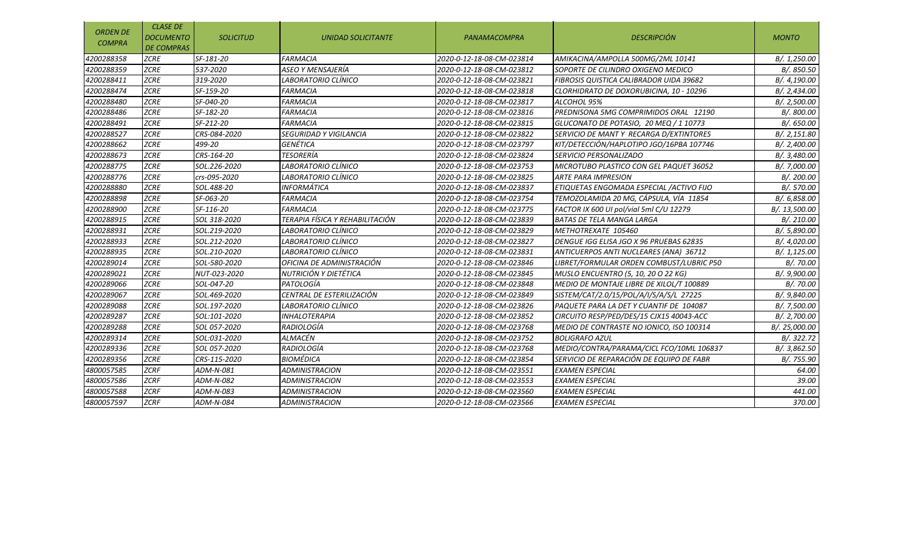| <b>ORDEN DE</b><br><b>COMPRA</b> | <b>CLASE DE</b><br><b>DOCUMENTO</b><br><b>DE COMPRAS</b> | <b>SOLICITUD</b> | <b>UNIDAD SOLICITANTE</b>       | <b>PANAMACOMPRA</b>       | <b>DESCRIPCIÓN</b>                        | <b>MONTO</b>  |
|----------------------------------|----------------------------------------------------------|------------------|---------------------------------|---------------------------|-------------------------------------------|---------------|
| 4200288358                       | <b>ZCRE</b>                                              | SF-181-20        | <b>FARMACIA</b>                 | 2020-0-12-18-08-CM-023814 | AMIKACINA/AMPOLLA 500MG/2ML 10141         | B/. 1,250.00  |
| 4200288359                       | <b>ZCRE</b>                                              | 537-2020         | ASEO Y MENSAJERÍA               | 2020-0-12-18-08-CM-023812 | SOPORTE DE CILINDRO OXIGENO MEDICO        | B/. 850.50    |
| 4200288411                       | <b>ZCRE</b>                                              | 319-2020         | LABORATORIO CLÍNICO             | 2020-0-12-18-08-CM-023821 | FIBROSIS QUISTICA CALIBRADOR UIDA 39682   | B/. 4,190.00  |
| 4200288474                       | <b>ZCRE</b>                                              | SF-159-20        | <b>FARMACIA</b>                 | 2020-0-12-18-08-CM-023818 | CLORHIDRATO DE DOXORUBICINA, 10 - 10296   | B/. 2,434.00  |
| 4200288480                       | <b>ZCRE</b>                                              | SF-040-20        | <b>FARMACIA</b>                 | 2020-0-12-18-08-CM-023817 | ALCOHOL 95%                               | B/. 2,500.00  |
| 4200288486                       | <b>ZCRE</b>                                              | SF-182-20        | <b>FARMACIA</b>                 | 2020-0-12-18-08-CM-023816 | PREDNISONA 5MG COMPRIMIDOS ORAL 12190     | B/. 800.00    |
| 4200288491                       | <b>ZCRE</b>                                              | SF-212-20        | <b>FARMACIA</b>                 | 2020-0-12-18-08-CM-023815 | GLUCONATO DE POTASIO, 20 MEQ / 1 10773    | B/. 650.00    |
| 4200288527                       | <b>ZCRE</b>                                              | CRS-084-2020     | <b>SEGURIDAD Y VIGILANCIA</b>   | 2020-0-12-18-08-CM-023822 | SERVICIO DE MANT Y RECARGA D/EXTINTORES   | B/. 2,151.80  |
| 4200288662                       | <b>ZCRE</b>                                              | 499-20           | GENÉTICA                        | 2020-0-12-18-08-CM-023797 | KIT/DETECCIÓN/HAPLOTIPO JGO/16PBA 107746  | B/.2,400.00   |
| 4200288673                       | <b>ZCRE</b>                                              | CRS-164-20       | TESORERÍA                       | 2020-0-12-18-08-CM-023824 | SERVICIO PERSONALIZADO                    | B/. 3,480.00  |
| 4200288775                       | <b>ZCRE</b>                                              | SOL.226-2020     | LABORATORIO CLÍNICO             | 2020-0-12-18-08-CM-023753 | MICROTUBO PLASTICO CON GEL PAQUET 36052   | B/. 7,000.00  |
| 4200288776                       | <b>ZCRE</b>                                              | crs-095-2020     | LABORATORIO CLÍNICO             | 2020-0-12-18-08-CM-023825 | <b>ARTE PARA IMPRESION</b>                | B/. 200.00    |
| 4200288880                       | <b>ZCRE</b>                                              | SOL.488-20       | <b>INFORMÁTICA</b>              | 2020-0-12-18-08-CM-023837 | ETIQUETAS ENGOMADA ESPECIAL / ACTIVO FIJO | B/. 570.00    |
| 4200288898                       | <b>ZCRE</b>                                              | SF-063-20        | <b>FARMACIA</b>                 | 2020-0-12-18-08-CM-023754 | TEMOZOLAMIDA 20 MG, CÁPSULA, VÍA 11854    | B/. 6,858.00  |
| 4200288900                       | <b>ZCRE</b>                                              | SF-116-20        | <b>FARMACIA</b>                 | 2020-0-12-18-08-CM-023775 | FACTOR IX 600 UI pol/vial 5ml C/U 12279   | B/. 13,500.00 |
| 4200288915                       | <b>ZCRE</b>                                              | SOL 318-2020     | TERAPIA FÍSICA Y REHABILITACIÓN | 2020-0-12-18-08-CM-023839 | <b>BATAS DE TELA MANGA LARGA</b>          | B/. 210.00    |
| 4200288931                       | <b>ZCRE</b>                                              | SOL.219-2020     | LABORATORIO CLÍNICO             | 2020-0-12-18-08-CM-023829 | METHOTREXATE 105460                       | B/. 5,890.00  |
| 4200288933                       | <b>ZCRE</b>                                              | SOL.212-2020     | LABORATORIO CLÍNICO             | 2020-0-12-18-08-CM-023827 | DENGUE IGG ELISA JGO X 96 PRUEBAS 62835   | B/. 4,020.00  |
| 4200288935                       | <b>ZCRE</b>                                              | SOL.210-2020     | LABORATORIO CLÍNICO             | 2020-0-12-18-08-CM-023831 | ANTICUERPOS ANTI NUCLEARES (ANA) 36712    | B/. 1,125.00  |
| 4200289014                       | <b>ZCRE</b>                                              | SOL-580-2020     | OFICINA DE ADMINISTRACIÓN       | 2020-0-12-18-08-CM-023846 | LIBRET/FORMULAR ORDEN COMBUST/LUBRIC P50  | B/. 70.00     |
| 4200289021                       | <b>ZCRE</b>                                              | NUT-023-2020     | NUTRICIÓN Y DIETÉTICA           | 2020-0-12-18-08-CM-023845 | MUSLO ENCUENTRO (5, 10, 20 O 22 KG)       | B/. 9,900.00  |
| 4200289066                       | <b>ZCRE</b>                                              | SOL-047-20       | PATOLOGÍA                       | 2020-0-12-18-08-CM-023848 | MEDIO DE MONTAJE LIBRE DE XILOL/T 100889  | B/.70.00      |
| 4200289067                       | <b>ZCRE</b>                                              | SOL.469-2020     | CENTRAL DE ESTERILIZACIÓN       | 2020-0-12-18-08-CM-023849 | SISTEM/CAT/2.0/15/POL/A/I/S/A/S/L 27225   | B/. 9,840.00  |
| 4200289088                       | <b>ZCRE</b>                                              | SOL.197-2020     | LABORATORIO CLÍNICO             | 2020-0-12-18-08-CM-023826 | PAQUETE PARA LA DET Y CUANTIF DE 104087   | B/. 7,500.00  |
| 4200289287                       | <b>ZCRE</b>                                              | SOL:101-2020     | <i><b>INHALOTERAPIA</b></i>     | 2020-0-12-18-08-CM-023852 | CIRCUITO RESP/PED/DES/15 CJX15 40043-ACC  | B/. 2,700.00  |
| 4200289288                       | <b>ZCRE</b>                                              | SOL 057-2020     | RADIOLOGÍA                      | 2020-0-12-18-08-CM-023768 | MEDIO DE CONTRASTE NO IONICO, ISO 100314  | B/. 25,000.00 |
| 4200289314                       | <b>ZCRE</b>                                              | SOL:031-2020     | ALMACÉN                         | 2020-0-12-18-08-CM-023752 | <b>BOLIGRAFO AZUL</b>                     | B/. 322.72    |
| 4200289336                       | <b>ZCRE</b>                                              | SOL 057-2020     | <b>RADIOLOGÍA</b>               | 2020-0-12-18-08-CM-023768 | MEDIO/CONTRA/PARAMA/CICL FCO/10ML 106837  | B/. 3,862.50  |
| 4200289356                       | <b>ZCRE</b>                                              | CRS-115-2020     | <b>BIOMÉDICA</b>                | 2020-0-12-18-08-CM-023854 | SERVICIO DE REPARACIÓN DE EQUIPO DE FABR  | B/. 755.90    |
| 4800057585                       | <b>ZCRF</b>                                              | ADM-N-081        | ADMINISTRACION                  | 2020-0-12-18-08-CM-023551 | <b>EXAMEN ESPECIAL</b>                    | 64.00         |
| 4800057586                       | <b>ZCRF</b>                                              | ADM-N-082        | <b>ADMINISTRACION</b>           | 2020-0-12-18-08-CM-023553 | <b>EXAMEN ESPECIAL</b>                    | 39.00         |
| 4800057588                       | <b>ZCRF</b>                                              | ADM-N-083        | <b>ADMINISTRACION</b>           | 2020-0-12-18-08-CM-023560 | <b>EXAMEN ESPECIAL</b>                    | 441.00        |
| 4800057597                       | <b>ZCRF</b>                                              | ADM-N-084        | <b>ADMINISTRACION</b>           | 2020-0-12-18-08-CM-023566 | <b>EXAMEN ESPECIAL</b>                    | 370.00        |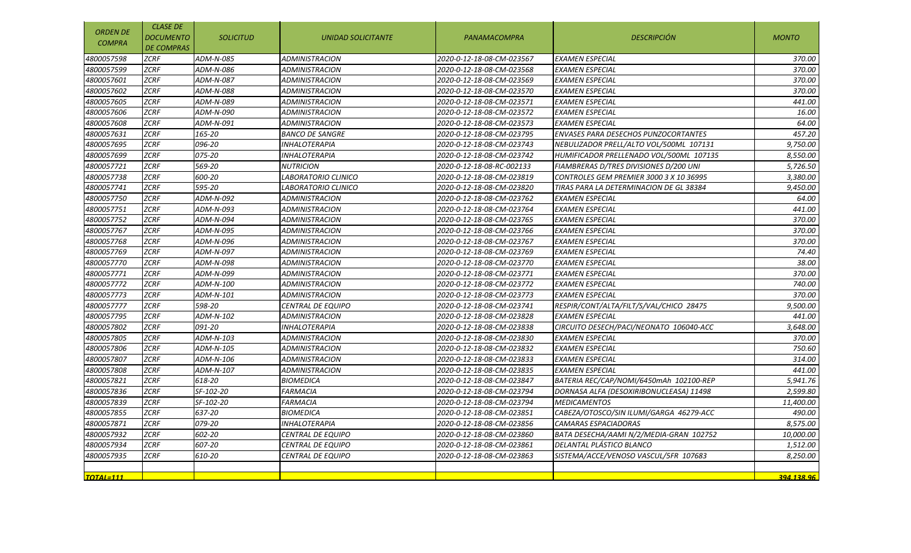| <b>ORDEN DE</b><br><b>COMPRA</b> | <b>CLASE DE</b><br><b>DOCUMENTO</b><br><b>DE COMPRAS</b> | <b>SOLICITUD</b> | DESCRIPCIÓN<br><b>PANAMACOMPRA</b><br><b>UNIDAD SOLICITANTE</b> |                           |                                             | <b>MONTO</b> |
|----------------------------------|----------------------------------------------------------|------------------|-----------------------------------------------------------------|---------------------------|---------------------------------------------|--------------|
| 4800057598                       | <b>ZCRF</b>                                              | ADM-N-085        | <b>ADMINISTRACION</b>                                           | 2020-0-12-18-08-CM-023567 | <b>EXAMEN ESPECIAL</b>                      | 370.00       |
| 4800057599                       | <b>ZCRF</b>                                              | ADM-N-086        | <b>ADMINISTRACION</b>                                           | 2020-0-12-18-08-CM-023568 | EXAMEN ESPECIAL                             | 370.00       |
| 4800057601                       | <b>ZCRF</b>                                              | ADM-N-087        | ADMINISTRACION                                                  | 2020-0-12-18-08-CM-023569 | EXAMEN ESPECIAL                             | 370.00       |
| 4800057602                       | <b>ZCRF</b>                                              | ADM-N-088        | <b>ADMINISTRACION</b>                                           | 2020-0-12-18-08-CM-023570 | <b>EXAMEN ESPECIAL</b>                      | 370.00       |
| 4800057605                       | <b>ZCRF</b>                                              | ADM-N-089        | <b>ADMINISTRACION</b>                                           | 2020-0-12-18-08-CM-023571 | <b>EXAMEN ESPECIAL</b>                      | 441.00       |
| 4800057606                       | <b>ZCRF</b>                                              | ADM-N-090        | <b>ADMINISTRACION</b>                                           | 2020-0-12-18-08-CM-023572 | <b>EXAMEN ESPECIAL</b>                      | 16.00        |
| 4800057608                       | <b>ZCRF</b>                                              | ADM-N-091        | <b>ADMINISTRACION</b>                                           | 2020-0-12-18-08-CM-023573 | <b>EXAMEN ESPECIAL</b>                      | 64.00        |
| 4800057631                       | <b>ZCRF</b>                                              | 165-20           | <b>BANCO DE SANGRE</b>                                          | 2020-0-12-18-08-CM-023795 | <b>ENVASES PARA DESECHOS PUNZOCORTANTES</b> | 457.20       |
| 4800057695                       | <b>ZCRF</b>                                              | 096-20           | <b>INHALOTERAPIA</b>                                            | 2020-0-12-18-08-CM-023743 | NEBULIZADOR PRELL/ALTO VOL/500ML 107131     | 9,750.00     |
| 4800057699                       | <b>ZCRF</b>                                              | 075-20           | <i><b>INHALOTERAPIA</b></i>                                     | 2020-0-12-18-08-CM-023742 | HUMIFICADOR PRELLENADO VOL/500ML 107135     | 8,550.00     |
| 4800057721                       | <b>ZCRF</b>                                              | 569-20           | <b>NUTRICION</b>                                                | 2020-0-12-18-08-RC-002133 | FIAMBRERAS D/TRES DIVISIONES D/200 UNI      | 5,726.50     |
| 4800057738                       | <b>ZCRF</b>                                              | 600-20           | LABORATORIO CLINICO                                             | 2020-0-12-18-08-CM-023819 | CONTROLES GEM PREMIER 3000 3 X 10 36995     | 3,380.00     |
| 4800057741                       | <b>ZCRF</b>                                              | 595-20           | LABORATORIO CLINICO                                             | 2020-0-12-18-08-CM-023820 | TIRAS PARA LA DETERMINACION DE GL 38384     | 9,450.00     |
| 4800057750                       | <b>ZCRF</b>                                              | ADM-N-092        | <b>ADMINISTRACION</b>                                           | 2020-0-12-18-08-CM-023762 | <b>EXAMEN ESPECIAL</b>                      | 64.00        |
| 4800057751                       | <b>ZCRF</b>                                              | ADM-N-093        | <b>ADMINISTRACION</b>                                           | 2020-0-12-18-08-CM-023764 | <b>EXAMEN ESPECIAL</b>                      | 441.00       |
| 4800057752                       | <b>ZCRF</b>                                              | ADM-N-094        | <b>ADMINISTRACION</b>                                           | 2020-0-12-18-08-CM-023765 | <b>EXAMEN ESPECIAL</b>                      | 370.00       |
| 4800057767                       | <b>ZCRF</b>                                              | ADM-N-095        | <b>ADMINISTRACION</b>                                           | 2020-0-12-18-08-CM-023766 | <b>EXAMEN ESPECIAL</b>                      | 370.00       |
| 4800057768                       | <b>ZCRF</b>                                              | ADM-N-096        | <b>ADMINISTRACION</b>                                           | 2020-0-12-18-08-CM-023767 | <b>EXAMEN ESPECIAL</b>                      | 370.00       |
| 4800057769                       | <b>ZCRF</b>                                              | ADM-N-097        | <b>ADMINISTRACION</b>                                           | 2020-0-12-18-08-CM-023769 | <b>EXAMEN ESPECIAL</b>                      | 74.40        |
| 4800057770                       | <b>ZCRF</b>                                              | ADM-N-098        | <b>ADMINISTRACION</b>                                           | 2020-0-12-18-08-CM-023770 | <b>EXAMEN ESPECIAL</b>                      | 38.00        |
| 4800057771                       | <b>ZCRF</b>                                              | ADM-N-099        | <b>ADMINISTRACION</b>                                           | 2020-0-12-18-08-CM-023771 | <b>EXAMEN ESPECIAL</b>                      | 370.00       |
| 4800057772                       | <b>ZCRF</b>                                              | ADM-N-100        | <b>ADMINISTRACION</b>                                           | 2020-0-12-18-08-CM-023772 | <b>EXAMEN ESPECIAL</b>                      | 740.00       |
| 4800057773                       | <b>ZCRF</b>                                              | ADM-N-101        | <b>ADMINISTRACION</b>                                           | 2020-0-12-18-08-CM-023773 | <b>EXAMEN ESPECIAL</b>                      | 370.00       |
| 4800057777                       | <b>ZCRF</b>                                              | 598-20           | <b>CENTRAL DE EQUIPO</b>                                        | 2020-0-12-18-08-CM-023741 | RESPIR/CONT/ALTA/FILT/S/VAL/CHICO 28475     | 9,500.00     |
| 4800057795                       | <b>ZCRF</b>                                              | ADM-N-102        | <b>ADMINISTRACION</b>                                           | 2020-0-12-18-08-CM-023828 | <b>EXAMEN ESPECIAL</b>                      | 441.00       |
| 4800057802                       | <b>ZCRF</b>                                              | 091-20           | <b>INHALOTERAPIA</b>                                            | 2020-0-12-18-08-CM-023838 | CIRCUITO DESECH/PACI/NEONATO 106040-ACC     | 3,648.00     |
| 4800057805                       | <b>ZCRF</b>                                              | ADM-N-103        | <b>ADMINISTRACION</b>                                           | 2020-0-12-18-08-CM-023830 | <b>EXAMEN ESPECIAL</b>                      | 370.00       |
| 4800057806                       | <b>ZCRF</b>                                              | ADM-N-105        | <b>ADMINISTRACION</b>                                           | 2020-0-12-18-08-CM-023832 | <b>EXAMEN ESPECIAL</b>                      | 750.60       |
| 4800057807                       | <b>ZCRF</b>                                              | ADM-N-106        | <b>ADMINISTRACION</b>                                           | 2020-0-12-18-08-CM-023833 | <b>EXAMEN ESPECIAL</b>                      | 314.00       |
| 4800057808                       | <b>ZCRF</b>                                              | ADM-N-107        | <b>ADMINISTRACION</b>                                           | 2020-0-12-18-08-CM-023835 | <b>EXAMEN ESPECIAL</b>                      | 441.00       |
| 4800057821                       | <b>ZCRF</b>                                              | 618-20           | <b>BIOMEDICA</b>                                                | 2020-0-12-18-08-CM-023847 | BATERIA REC/CAP/NOMI/6450mAh 102100-REP     | 5.941.76     |
| 4800057836                       | <b>ZCRF</b>                                              | SF-102-20        | <b>FARMACIA</b>                                                 | 2020-0-12-18-08-CM-023794 | DORNASA ALFA (DESOXIRIBONUCLEASA) 11498     | 2,599.80     |
| 4800057839                       | <b>ZCRF</b>                                              | SF-102-20        | <b>FARMACIA</b>                                                 | 2020-0-12-18-08-CM-023794 | <b>MEDICAMENTOS</b>                         | 11,400.00    |
| 4800057855                       | <b>ZCRF</b>                                              | 637-20           | <b>BIOMEDICA</b>                                                | 2020-0-12-18-08-CM-023851 | CABEZA/OTOSCO/SIN ILUMI/GARGA 46279-ACC     | 490.00       |
| 4800057871                       | <b>ZCRF</b>                                              | 079-20           | <b>INHALOTERAPIA</b>                                            | 2020-0-12-18-08-CM-023856 | CAMARAS ESPACIADORAS                        | 8,575.00     |
| 4800057932                       | <b>ZCRF</b>                                              | 602-20           | CENTRAL DE EQUIPO                                               | 2020-0-12-18-08-CM-023860 | BATA DESECHA/AAMI N/2/MEDIA-GRAN 102752     | 10,000.00    |
| 4800057934                       | <b>ZCRF</b>                                              | 607-20           | CENTRAL DE EQUIPO                                               | 2020-0-12-18-08-CM-023861 | DELANTAL PLÁSTICO BLANCO                    | 1,512.00     |
| 4800057935                       | <b>ZCRF</b>                                              | 610-20           | CENTRAL DE EQUIPO                                               | 2020-0-12-18-08-CM-023863 | SISTEMA/ACCE/VENOSO VASCUL/5FR 107683       | 8,250.00     |
|                                  |                                                          |                  |                                                                 |                           |                                             |              |
| <b>TOTAL=111</b>                 |                                                          |                  |                                                                 |                           |                                             | 394.138.96   |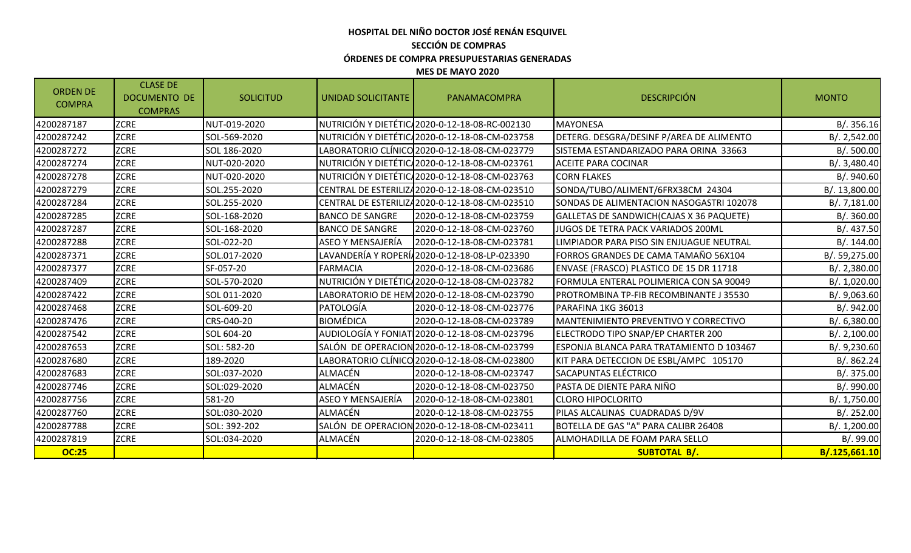# **HOSPITAL DEL NIÑO DOCTOR JOSÉ RENÁN ESQUIVEL SECCIÓN DE COMPRAS ÓRDENES DE COMPRA PRESUPUESTARIAS GENERADAS**

#### **MES DE MAYO 2020**

| <b>ORDEN DE</b><br><b>COMPRA</b> | <b>CLASE DE</b><br><b>DOCUMENTO DE</b><br><b>COMPRAS</b> | <b>SOLICITUD</b> | UNIDAD SOLICITANTE       | PANAMACOMPRA                                    | <b>DESCRIPCIÓN</b>                        | <b>MONTO</b>  |
|----------------------------------|----------------------------------------------------------|------------------|--------------------------|-------------------------------------------------|-------------------------------------------|---------------|
| 4200287187                       | <b>ZCRE</b>                                              | NUT-019-2020     |                          | NUTRICIÓN Y DIETÉTIC 2020-0-12-18-08-RC-002130  | <b>IMAYONESA</b>                          | B/.356.16     |
| 4200287242                       | <b>ZCRE</b>                                              | SOL-569-2020     |                          | INUTRICIÓN Y DIETÉTIC/2020-0-12-18-08-CM-023758 | DETERG. DESGRA/DESINF P/AREA DE ALIMENTO  | B/.2,542.00   |
| 4200287272                       | <b>ZCRE</b>                                              | SOL 186-2020     |                          | LABORATORIO CLÍNICO 2020-0-12-18-08-CM-023779   | SISTEMA ESTANDARIZADO PARA ORINA 33663    | B/. 500.00    |
| 4200287274                       | <b>ZCRE</b>                                              | NUT-020-2020     |                          | NUTRICIÓN Y DIETÉTIC 2020-0-12-18-08-CM-023761  | <b>ACEITE PARA COCINAR</b>                | B/. 3,480.40  |
| 4200287278                       | <b>ZCRE</b>                                              | NUT-020-2020     |                          | INUTRICIÓN Y DIETÉTIC/2020-0-12-18-08-CM-023763 | <b>CORN FLAKES</b>                        | B/. 940.60    |
| 4200287279                       | <b>ZCRE</b>                                              | SOL.255-2020     |                          | CENTRAL DE ESTERILIZA2020-0-12-18-08-CM-023510  | SONDA/TUBO/ALIMENT/6FRX38CM 24304         | B/. 13,800.00 |
| 4200287284                       | <b>ZCRE</b>                                              | SOL.255-2020     |                          | CENTRAL DE ESTERILIZA2020-0-12-18-08-CM-023510  | SONDAS DE ALIMENTACION NASOGASTRI 102078  | B/. 7,181.00  |
| 4200287285                       | <b>ZCRE</b>                                              | SOL-168-2020     | <b>BANCO DE SANGRE</b>   | 2020-0-12-18-08-CM-023759                       | GALLETAS DE SANDWICH (CAJAS X 36 PAQUETE) | B/.360.00     |
| 4200287287                       | <b>ZCRE</b>                                              | SOL-168-2020     | <b>BANCO DE SANGRE</b>   | 2020-0-12-18-08-CM-023760                       | JUGOS DE TETRA PACK VARIADOS 200ML        | B/. 437.50    |
| 4200287288                       | <b>ZCRE</b>                                              | SOL-022-20       | <b>ASEO Y MENSAJERÍA</b> | 2020-0-12-18-08-CM-023781                       | LIMPIADOR PARA PISO SIN ENJUAGUE NEUTRAL  | B/. 144.00    |
| 4200287371                       | <b>ZCRE</b>                                              | SOL.017-2020     |                          | LAVANDERÍA Y ROPERÍ 2020-0-12-18-08-LP-023390   | FORROS GRANDES DE CAMA TAMAÑO 56X104      | B/. 59,275.00 |
| 4200287377                       | <b>ZCRE</b>                                              | SF-057-20        | <b>FARMACIA</b>          | 2020-0-12-18-08-CM-023686                       | ENVASE (FRASCO) PLASTICO DE 15 DR 11718   | B/.2,380.00   |
| 4200287409                       | <b>ZCRE</b>                                              | SOL-570-2020     |                          | NUTRICIÓN Y DIETÉTIC 2020-0-12-18-08-CM-023782  | FORMULA ENTERAL POLIMERICA CON SA 90049   | B/. 1,020.00  |
| 4200287422                       | <b>ZCRE</b>                                              | SOL 011-2020     |                          | LABORATORIO DE HEM 2020-0-12-18-08-CM-023790    | PROTROMBINA TP-FIB RECOMBINANTE J 35530   | B/. 9,063.60  |
| 4200287468                       | <b>ZCRE</b>                                              | SOL-609-20       | PATOLOGÍA                | 2020-0-12-18-08-CM-023776                       | PARAFINA 1KG 36013                        | B/. 942.00    |
| 4200287476                       | <b>ZCRE</b>                                              | CRS-040-20       | <b>BIOMÉDICA</b>         | 2020-0-12-18-08-CM-023789                       | MANTENIMIENTO PREVENTIVO Y CORRECTIVO     | B/0.6,380.00  |
| 4200287542                       | <b>ZCRE</b>                                              | SOL 604-20       |                          | AUDIOLOGÍA Y FONIAT 2020-0-12-18-08-CM-023796   | ELECTRODO TIPO SNAP/EP CHARTER 200        | B/.2,100.00   |
| 4200287653                       | <b>ZCRE</b>                                              | SOL: 582-20      |                          | SALÓN DE OPERACION 2020-0-12-18-08-CM-023799    | ESPONJA BLANCA PARA TRATAMIENTO D 103467  | B/. 9,230.60  |
| 4200287680                       | <b>ZCRE</b>                                              | 189-2020         |                          | LABORATORIO CLÍNICO 2020-0-12-18-08-CM-023800   | KIT PARA DETECCION DE ESBL/AMPC 105170    | B/. 862.24    |
| 4200287683                       | <b>ZCRE</b>                                              | SOL:037-2020     | <b>ALMACÉN</b>           | 2020-0-12-18-08-CM-023747                       | <b>SACAPUNTAS ELÉCTRICO</b>               | B/. 375.00    |
| 4200287746                       | <b>ZCRE</b>                                              | SOL:029-2020     | <b>ALMACÉN</b>           | 2020-0-12-18-08-CM-023750                       | PASTA DE DIENTE PARA NIÑO                 | B/. 990.00    |
| 4200287756                       | <b>ZCRE</b>                                              | 581-20           | ASEO Y MENSAJERÍA        | 2020-0-12-18-08-CM-023801                       | <b>CLORO HIPOCLORITO</b>                  | B/. 1,750.00  |
| 4200287760                       | <b>ZCRE</b>                                              | SOL:030-2020     | ALMACÉN                  | 2020-0-12-18-08-CM-023755                       | PILAS ALCALINAS CUADRADAS D/9V            | B/.252.00     |
| 4200287788                       | <b>ZCRE</b>                                              | SOL: 392-202     | SALÓN DE OPERACION       | 2020-0-12-18-08-CM-023411                       | BOTELLA DE GAS "A" PARA CALIBR 26408      | B/. 1,200.00  |
| 4200287819                       | <b>ZCRE</b>                                              | SOL:034-2020     | ALMACÉN                  | 2020-0-12-18-08-CM-023805                       | ALMOHADILLA DE FOAM PARA SELLO            | B/.99.00      |
| <b>OC:25</b>                     |                                                          |                  |                          |                                                 | <b>SUBTOTAL B/.</b>                       | B/.125,661.10 |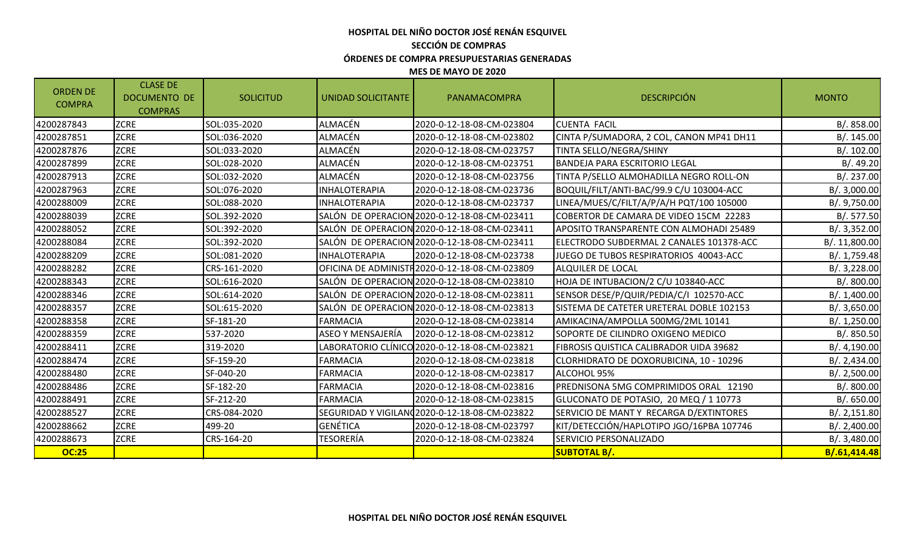### **HOSPITAL DEL NIÑO DOCTOR JOSÉ RENÁN ESQUIVEL SECCIÓN DE COMPRAS ÓRDENES DE COMPRA PRESUPUESTARIAS GENERADAS MES DE MAYO DE 2020**

| <b>ZCRE</b><br><b>ALMACÉN</b><br><b>CUENTA FACIL</b><br>4200287843<br>SOL:035-2020<br>2020-0-12-18-08-CM-023804<br><b>ZCRE</b><br><b>ALMACÉN</b><br>SOL:036-2020<br>CINTA P/SUMADORA, 2 COL, CANON MP41 DH11<br>4200287851<br>2020-0-12-18-08-CM-023802<br><b>ZCRE</b><br><b>ALMACÉN</b><br>TINTA SELLO/NEGRA/SHINY<br>4200287876<br>SOL:033-2020<br>2020-0-12-18-08-CM-023757<br><b>ALMACÉN</b><br><b>ZCRE</b><br>SOL:028-2020<br>2020-0-12-18-08-CM-023751<br>4200287899<br><b>BANDEJA PARA ESCRITORIO LEGAL</b><br><b>ZCRE</b><br>ALMACÉN<br>4200287913<br>SOL:032-2020<br>2020-0-12-18-08-CM-023756<br>TINTA P/SELLO ALMOHADILLA NEGRO ROLL-ON<br><b>ZCRE</b><br>SOL:076-2020<br><b>INHALOTERAPIA</b><br>2020-0-12-18-08-CM-023736<br>BOQUIL/FILT/ANTI-BAC/99.9 C/U 103004-ACC<br>4200287963<br><b>ZCRE</b><br>LINEA/MUES/C/FILT/A/P/A/H PQT/100 105000<br>4200288009<br>SOL:088-2020<br><b>INHALOTERAPIA</b><br>2020-0-12-18-08-CM-023737<br><b>ZCRE</b><br>SOL.392-2020<br>SALÓN DE OPERACION 2020-0-12-18-08-CM-023411<br>COBERTOR DE CAMARA DE VIDEO 15CM 22283<br>4200288039<br><b>ZCRE</b><br>SOL:392-2020<br>SALÓN DE OPERACION 2020-0-12-18-08-CM-023411<br>APOSITO TRANSPARENTE CON ALMOHADI 25489<br>4200288052<br><b>ZCRE</b><br>4200288084<br>SOL:392-2020<br>SALÓN DE OPERACION 2020-0-12-18-08-CM-023411<br>ELECTRODO SUBDERMAL 2 CANALES 101378-ACC<br><b>ZCRE</b><br>SOL:081-2020<br><b>INHALOTERAPIA</b><br>4200288209<br>2020-0-12-18-08-CM-023738<br>JUEGO DE TUBOS RESPIRATORIOS 40043-ACC<br><b>ZCRE</b><br>4200288282<br>CRS-161-2020<br>OFICINA DE ADMINISTR 2020-0-12-18-08-CM-023809<br>ALQUILER DE LOCAL<br><b>ZCRE</b><br>HOJA DE INTUBACION/2 C/U 103840-ACC<br>SOL:616-2020<br>SALÓN DE OPERACION 2020-0-12-18-08-CM-023810<br>4200288343<br><b>ZCRE</b><br>SENSOR DESE/P/QUIR/PEDIA/C/I 102570-ACC<br>SOL:614-2020<br>SALÓN DE OPERACION 2020-0-12-18-08-CM-023811<br>4200288346<br><b>ZCRE</b><br>4200288357<br>SOL:615-2020<br>SALÓN DE OPERACION 2020-0-12-18-08-CM-023813<br>ISISTEMA DE CATETER URETERAL DOBLE 102153<br><b>ZCRE</b><br>SF-181-20<br><b>FARMACIA</b><br>2020-0-12-18-08-CM-023814<br>AMIKACINA/AMPOLLA 500MG/2ML 10141<br>4200288358<br><b>ZCRE</b><br><b>ASEO Y MENSAJERÍA</b><br>537-2020<br>2020-0-12-18-08-CM-023812<br>SOPORTE DE CILINDRO OXIGENO MEDICO<br>4200288359<br><b>ZCRE</b><br>LABORATORIO CLÍNICO 2020-0-12-18-08-CM-023821<br>319-2020<br>FIBROSIS QUISTICA CALIBRADOR UIDA 39682<br>4200288411<br><b>ZCRE</b><br>SF-159-20<br><b>FARMACIA</b><br>4200288474<br>2020-0-12-18-08-CM-023818<br>CLORHIDRATO DE DOXORUBICINA, 10 - 10296<br><b>ZCRE</b><br>4200288480<br>SF-040-20<br><b>FARMACIA</b><br>2020-0-12-18-08-CM-023817<br>ALCOHOL 95%<br><b>ZCRE</b><br>4200288486<br>SF-182-20<br><b>FARMACIA</b><br>2020-0-12-18-08-CM-023816<br>PREDNISONA 5MG COMPRIMIDOS ORAL 12190<br><b>ZCRE</b><br>SF-212-20<br>2020-0-12-18-08-CM-023815<br>GLUCONATO DE POTASIO, 20 MEQ / 1 10773<br>4200288491<br><b>FARMACIA</b><br><b>ZCRE</b><br>CRS-084-2020<br>SERVICIO DE MANT Y RECARGA D/EXTINTORES<br>4200288527<br>SEGURIDAD Y VIGILAN 2020-0-12-18-08-CM-023822<br><b>GENÉTICA</b><br><b>ZCRE</b><br>KIT/DETECCIÓN/HAPLOTIPO JGO/16PBA 107746<br>499-20<br>2020-0-12-18-08-CM-023797<br>4200288662<br><b>ZCRE</b><br>TESORERÍA<br>2020-0-12-18-08-CM-023824<br>SERVICIO PERSONALIZADO<br>4200288673<br>CRS-164-20<br><b>OC:25</b><br><b>SUBTOTAL B/.</b> | <b>ORDEN DE</b><br><b>COMPRA</b> | <b>CLASE DE</b><br><b>DOCUMENTO DE</b><br><b>COMPRAS</b> | <b>SOLICITUD</b> | UNIDAD SOLICITANTE | PANAMACOMPRA | <b>DESCRIPCIÓN</b> | <b>MONTO</b>  |
|---------------------------------------------------------------------------------------------------------------------------------------------------------------------------------------------------------------------------------------------------------------------------------------------------------------------------------------------------------------------------------------------------------------------------------------------------------------------------------------------------------------------------------------------------------------------------------------------------------------------------------------------------------------------------------------------------------------------------------------------------------------------------------------------------------------------------------------------------------------------------------------------------------------------------------------------------------------------------------------------------------------------------------------------------------------------------------------------------------------------------------------------------------------------------------------------------------------------------------------------------------------------------------------------------------------------------------------------------------------------------------------------------------------------------------------------------------------------------------------------------------------------------------------------------------------------------------------------------------------------------------------------------------------------------------------------------------------------------------------------------------------------------------------------------------------------------------------------------------------------------------------------------------------------------------------------------------------------------------------------------------------------------------------------------------------------------------------------------------------------------------------------------------------------------------------------------------------------------------------------------------------------------------------------------------------------------------------------------------------------------------------------------------------------------------------------------------------------------------------------------------------------------------------------------------------------------------------------------------------------------------------------------------------------------------------------------------------------------------------------------------------------------------------------------------------------------------------------------------------------------------------------------------------------------------------------------------------------------------------------------------------------------------------------------------------------------------------------------------------------------------------------------------------------------------------------------------------------------------------------------------------------------------------------------------------------------------------------------------------------------------------------------------------------------------|----------------------------------|----------------------------------------------------------|------------------|--------------------|--------------|--------------------|---------------|
|                                                                                                                                                                                                                                                                                                                                                                                                                                                                                                                                                                                                                                                                                                                                                                                                                                                                                                                                                                                                                                                                                                                                                                                                                                                                                                                                                                                                                                                                                                                                                                                                                                                                                                                                                                                                                                                                                                                                                                                                                                                                                                                                                                                                                                                                                                                                                                                                                                                                                                                                                                                                                                                                                                                                                                                                                                                                                                                                                                                                                                                                                                                                                                                                                                                                                                                                                                                                                                 |                                  |                                                          |                  |                    |              |                    | B/. 858.00    |
|                                                                                                                                                                                                                                                                                                                                                                                                                                                                                                                                                                                                                                                                                                                                                                                                                                                                                                                                                                                                                                                                                                                                                                                                                                                                                                                                                                                                                                                                                                                                                                                                                                                                                                                                                                                                                                                                                                                                                                                                                                                                                                                                                                                                                                                                                                                                                                                                                                                                                                                                                                                                                                                                                                                                                                                                                                                                                                                                                                                                                                                                                                                                                                                                                                                                                                                                                                                                                                 |                                  |                                                          |                  |                    |              |                    | B/. 145.00    |
|                                                                                                                                                                                                                                                                                                                                                                                                                                                                                                                                                                                                                                                                                                                                                                                                                                                                                                                                                                                                                                                                                                                                                                                                                                                                                                                                                                                                                                                                                                                                                                                                                                                                                                                                                                                                                                                                                                                                                                                                                                                                                                                                                                                                                                                                                                                                                                                                                                                                                                                                                                                                                                                                                                                                                                                                                                                                                                                                                                                                                                                                                                                                                                                                                                                                                                                                                                                                                                 |                                  |                                                          |                  |                    |              |                    | B/.102.00     |
|                                                                                                                                                                                                                                                                                                                                                                                                                                                                                                                                                                                                                                                                                                                                                                                                                                                                                                                                                                                                                                                                                                                                                                                                                                                                                                                                                                                                                                                                                                                                                                                                                                                                                                                                                                                                                                                                                                                                                                                                                                                                                                                                                                                                                                                                                                                                                                                                                                                                                                                                                                                                                                                                                                                                                                                                                                                                                                                                                                                                                                                                                                                                                                                                                                                                                                                                                                                                                                 |                                  |                                                          |                  |                    |              |                    | B/.49.20      |
|                                                                                                                                                                                                                                                                                                                                                                                                                                                                                                                                                                                                                                                                                                                                                                                                                                                                                                                                                                                                                                                                                                                                                                                                                                                                                                                                                                                                                                                                                                                                                                                                                                                                                                                                                                                                                                                                                                                                                                                                                                                                                                                                                                                                                                                                                                                                                                                                                                                                                                                                                                                                                                                                                                                                                                                                                                                                                                                                                                                                                                                                                                                                                                                                                                                                                                                                                                                                                                 |                                  |                                                          |                  |                    |              |                    | B/.237.00     |
|                                                                                                                                                                                                                                                                                                                                                                                                                                                                                                                                                                                                                                                                                                                                                                                                                                                                                                                                                                                                                                                                                                                                                                                                                                                                                                                                                                                                                                                                                                                                                                                                                                                                                                                                                                                                                                                                                                                                                                                                                                                                                                                                                                                                                                                                                                                                                                                                                                                                                                                                                                                                                                                                                                                                                                                                                                                                                                                                                                                                                                                                                                                                                                                                                                                                                                                                                                                                                                 |                                  |                                                          |                  |                    |              |                    | B/.3,000.00   |
|                                                                                                                                                                                                                                                                                                                                                                                                                                                                                                                                                                                                                                                                                                                                                                                                                                                                                                                                                                                                                                                                                                                                                                                                                                                                                                                                                                                                                                                                                                                                                                                                                                                                                                                                                                                                                                                                                                                                                                                                                                                                                                                                                                                                                                                                                                                                                                                                                                                                                                                                                                                                                                                                                                                                                                                                                                                                                                                                                                                                                                                                                                                                                                                                                                                                                                                                                                                                                                 |                                  |                                                          |                  |                    |              |                    | B/. 9,750.00  |
|                                                                                                                                                                                                                                                                                                                                                                                                                                                                                                                                                                                                                                                                                                                                                                                                                                                                                                                                                                                                                                                                                                                                                                                                                                                                                                                                                                                                                                                                                                                                                                                                                                                                                                                                                                                                                                                                                                                                                                                                                                                                                                                                                                                                                                                                                                                                                                                                                                                                                                                                                                                                                                                                                                                                                                                                                                                                                                                                                                                                                                                                                                                                                                                                                                                                                                                                                                                                                                 |                                  |                                                          |                  |                    |              |                    | B/.577.50     |
|                                                                                                                                                                                                                                                                                                                                                                                                                                                                                                                                                                                                                                                                                                                                                                                                                                                                                                                                                                                                                                                                                                                                                                                                                                                                                                                                                                                                                                                                                                                                                                                                                                                                                                                                                                                                                                                                                                                                                                                                                                                                                                                                                                                                                                                                                                                                                                                                                                                                                                                                                                                                                                                                                                                                                                                                                                                                                                                                                                                                                                                                                                                                                                                                                                                                                                                                                                                                                                 |                                  |                                                          |                  |                    |              |                    | B/.3,352.00   |
|                                                                                                                                                                                                                                                                                                                                                                                                                                                                                                                                                                                                                                                                                                                                                                                                                                                                                                                                                                                                                                                                                                                                                                                                                                                                                                                                                                                                                                                                                                                                                                                                                                                                                                                                                                                                                                                                                                                                                                                                                                                                                                                                                                                                                                                                                                                                                                                                                                                                                                                                                                                                                                                                                                                                                                                                                                                                                                                                                                                                                                                                                                                                                                                                                                                                                                                                                                                                                                 |                                  |                                                          |                  |                    |              |                    | B/. 11,800.00 |
|                                                                                                                                                                                                                                                                                                                                                                                                                                                                                                                                                                                                                                                                                                                                                                                                                                                                                                                                                                                                                                                                                                                                                                                                                                                                                                                                                                                                                                                                                                                                                                                                                                                                                                                                                                                                                                                                                                                                                                                                                                                                                                                                                                                                                                                                                                                                                                                                                                                                                                                                                                                                                                                                                                                                                                                                                                                                                                                                                                                                                                                                                                                                                                                                                                                                                                                                                                                                                                 |                                  |                                                          |                  |                    |              |                    | B/. 1,759.48  |
|                                                                                                                                                                                                                                                                                                                                                                                                                                                                                                                                                                                                                                                                                                                                                                                                                                                                                                                                                                                                                                                                                                                                                                                                                                                                                                                                                                                                                                                                                                                                                                                                                                                                                                                                                                                                                                                                                                                                                                                                                                                                                                                                                                                                                                                                                                                                                                                                                                                                                                                                                                                                                                                                                                                                                                                                                                                                                                                                                                                                                                                                                                                                                                                                                                                                                                                                                                                                                                 |                                  |                                                          |                  |                    |              |                    | B/.3,228.00   |
|                                                                                                                                                                                                                                                                                                                                                                                                                                                                                                                                                                                                                                                                                                                                                                                                                                                                                                                                                                                                                                                                                                                                                                                                                                                                                                                                                                                                                                                                                                                                                                                                                                                                                                                                                                                                                                                                                                                                                                                                                                                                                                                                                                                                                                                                                                                                                                                                                                                                                                                                                                                                                                                                                                                                                                                                                                                                                                                                                                                                                                                                                                                                                                                                                                                                                                                                                                                                                                 |                                  |                                                          |                  |                    |              |                    | B/.800.00     |
|                                                                                                                                                                                                                                                                                                                                                                                                                                                                                                                                                                                                                                                                                                                                                                                                                                                                                                                                                                                                                                                                                                                                                                                                                                                                                                                                                                                                                                                                                                                                                                                                                                                                                                                                                                                                                                                                                                                                                                                                                                                                                                                                                                                                                                                                                                                                                                                                                                                                                                                                                                                                                                                                                                                                                                                                                                                                                                                                                                                                                                                                                                                                                                                                                                                                                                                                                                                                                                 |                                  |                                                          |                  |                    |              |                    | B/.1,400.00   |
|                                                                                                                                                                                                                                                                                                                                                                                                                                                                                                                                                                                                                                                                                                                                                                                                                                                                                                                                                                                                                                                                                                                                                                                                                                                                                                                                                                                                                                                                                                                                                                                                                                                                                                                                                                                                                                                                                                                                                                                                                                                                                                                                                                                                                                                                                                                                                                                                                                                                                                                                                                                                                                                                                                                                                                                                                                                                                                                                                                                                                                                                                                                                                                                                                                                                                                                                                                                                                                 |                                  |                                                          |                  |                    |              |                    | B/.3,650.00   |
|                                                                                                                                                                                                                                                                                                                                                                                                                                                                                                                                                                                                                                                                                                                                                                                                                                                                                                                                                                                                                                                                                                                                                                                                                                                                                                                                                                                                                                                                                                                                                                                                                                                                                                                                                                                                                                                                                                                                                                                                                                                                                                                                                                                                                                                                                                                                                                                                                                                                                                                                                                                                                                                                                                                                                                                                                                                                                                                                                                                                                                                                                                                                                                                                                                                                                                                                                                                                                                 |                                  |                                                          |                  |                    |              |                    | B/.1,250.00   |
|                                                                                                                                                                                                                                                                                                                                                                                                                                                                                                                                                                                                                                                                                                                                                                                                                                                                                                                                                                                                                                                                                                                                                                                                                                                                                                                                                                                                                                                                                                                                                                                                                                                                                                                                                                                                                                                                                                                                                                                                                                                                                                                                                                                                                                                                                                                                                                                                                                                                                                                                                                                                                                                                                                                                                                                                                                                                                                                                                                                                                                                                                                                                                                                                                                                                                                                                                                                                                                 |                                  |                                                          |                  |                    |              |                    | B/. 850.50    |
|                                                                                                                                                                                                                                                                                                                                                                                                                                                                                                                                                                                                                                                                                                                                                                                                                                                                                                                                                                                                                                                                                                                                                                                                                                                                                                                                                                                                                                                                                                                                                                                                                                                                                                                                                                                                                                                                                                                                                                                                                                                                                                                                                                                                                                                                                                                                                                                                                                                                                                                                                                                                                                                                                                                                                                                                                                                                                                                                                                                                                                                                                                                                                                                                                                                                                                                                                                                                                                 |                                  |                                                          |                  |                    |              |                    | B/.4,190.00   |
|                                                                                                                                                                                                                                                                                                                                                                                                                                                                                                                                                                                                                                                                                                                                                                                                                                                                                                                                                                                                                                                                                                                                                                                                                                                                                                                                                                                                                                                                                                                                                                                                                                                                                                                                                                                                                                                                                                                                                                                                                                                                                                                                                                                                                                                                                                                                                                                                                                                                                                                                                                                                                                                                                                                                                                                                                                                                                                                                                                                                                                                                                                                                                                                                                                                                                                                                                                                                                                 |                                  |                                                          |                  |                    |              |                    | B/.2,434.00   |
|                                                                                                                                                                                                                                                                                                                                                                                                                                                                                                                                                                                                                                                                                                                                                                                                                                                                                                                                                                                                                                                                                                                                                                                                                                                                                                                                                                                                                                                                                                                                                                                                                                                                                                                                                                                                                                                                                                                                                                                                                                                                                                                                                                                                                                                                                                                                                                                                                                                                                                                                                                                                                                                                                                                                                                                                                                                                                                                                                                                                                                                                                                                                                                                                                                                                                                                                                                                                                                 |                                  |                                                          |                  |                    |              |                    | B/.2,500.00   |
|                                                                                                                                                                                                                                                                                                                                                                                                                                                                                                                                                                                                                                                                                                                                                                                                                                                                                                                                                                                                                                                                                                                                                                                                                                                                                                                                                                                                                                                                                                                                                                                                                                                                                                                                                                                                                                                                                                                                                                                                                                                                                                                                                                                                                                                                                                                                                                                                                                                                                                                                                                                                                                                                                                                                                                                                                                                                                                                                                                                                                                                                                                                                                                                                                                                                                                                                                                                                                                 |                                  |                                                          |                  |                    |              |                    | B/. 800.00    |
|                                                                                                                                                                                                                                                                                                                                                                                                                                                                                                                                                                                                                                                                                                                                                                                                                                                                                                                                                                                                                                                                                                                                                                                                                                                                                                                                                                                                                                                                                                                                                                                                                                                                                                                                                                                                                                                                                                                                                                                                                                                                                                                                                                                                                                                                                                                                                                                                                                                                                                                                                                                                                                                                                                                                                                                                                                                                                                                                                                                                                                                                                                                                                                                                                                                                                                                                                                                                                                 |                                  |                                                          |                  |                    |              |                    | B/0.650.00    |
|                                                                                                                                                                                                                                                                                                                                                                                                                                                                                                                                                                                                                                                                                                                                                                                                                                                                                                                                                                                                                                                                                                                                                                                                                                                                                                                                                                                                                                                                                                                                                                                                                                                                                                                                                                                                                                                                                                                                                                                                                                                                                                                                                                                                                                                                                                                                                                                                                                                                                                                                                                                                                                                                                                                                                                                                                                                                                                                                                                                                                                                                                                                                                                                                                                                                                                                                                                                                                                 |                                  |                                                          |                  |                    |              |                    | B/. 2, 151.80 |
|                                                                                                                                                                                                                                                                                                                                                                                                                                                                                                                                                                                                                                                                                                                                                                                                                                                                                                                                                                                                                                                                                                                                                                                                                                                                                                                                                                                                                                                                                                                                                                                                                                                                                                                                                                                                                                                                                                                                                                                                                                                                                                                                                                                                                                                                                                                                                                                                                                                                                                                                                                                                                                                                                                                                                                                                                                                                                                                                                                                                                                                                                                                                                                                                                                                                                                                                                                                                                                 |                                  |                                                          |                  |                    |              |                    | B/.2,400.00   |
|                                                                                                                                                                                                                                                                                                                                                                                                                                                                                                                                                                                                                                                                                                                                                                                                                                                                                                                                                                                                                                                                                                                                                                                                                                                                                                                                                                                                                                                                                                                                                                                                                                                                                                                                                                                                                                                                                                                                                                                                                                                                                                                                                                                                                                                                                                                                                                                                                                                                                                                                                                                                                                                                                                                                                                                                                                                                                                                                                                                                                                                                                                                                                                                                                                                                                                                                                                                                                                 |                                  |                                                          |                  |                    |              |                    | B/.3,480.00   |
|                                                                                                                                                                                                                                                                                                                                                                                                                                                                                                                                                                                                                                                                                                                                                                                                                                                                                                                                                                                                                                                                                                                                                                                                                                                                                                                                                                                                                                                                                                                                                                                                                                                                                                                                                                                                                                                                                                                                                                                                                                                                                                                                                                                                                                                                                                                                                                                                                                                                                                                                                                                                                                                                                                                                                                                                                                                                                                                                                                                                                                                                                                                                                                                                                                                                                                                                                                                                                                 |                                  |                                                          |                  |                    |              |                    | B/.61,414.48  |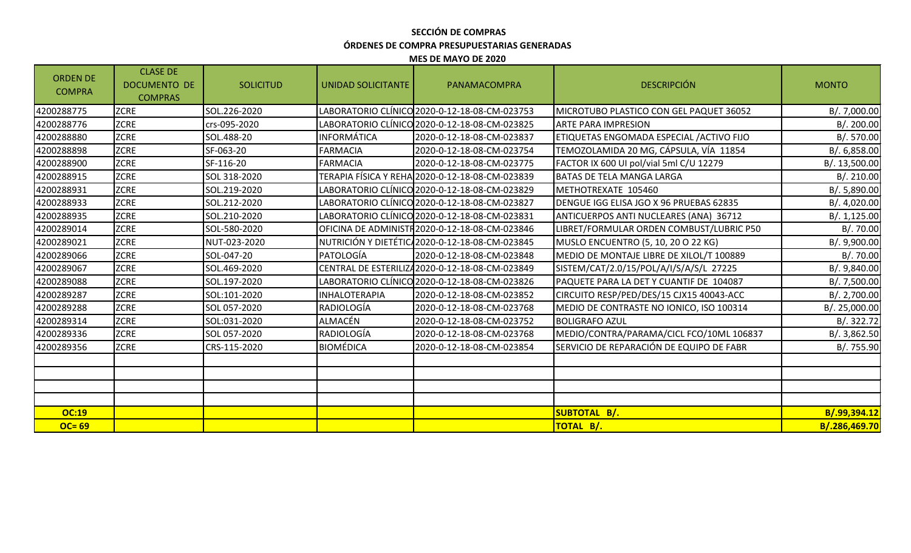# **SECCIÓN DE COMPRAS ÓRDENES DE COMPRA PRESUPUESTARIAS GENERADAS**

**MES DE MAYO DE 2020**

| <b>ORDEN DE</b><br><b>COMPRA</b> | <b>CLASE DE</b><br><b>DOCUMENTO DE</b><br><b>COMPRAS</b> | <b>SOLICITUD</b> | UNIDAD SOLICITANTE   | PANAMACOMPRA                                    | <b>DESCRIPCIÓN</b>                        | <b>MONTO</b>  |
|----------------------------------|----------------------------------------------------------|------------------|----------------------|-------------------------------------------------|-------------------------------------------|---------------|
| 4200288775                       | <b>ZCRE</b>                                              | SOL.226-2020     |                      | LABORATORIO CLÍNICO 2020-0-12-18-08-CM-023753   | MICROTUBO PLASTICO CON GEL PAQUET 36052   | B/. 7,000.00  |
| 4200288776                       | <b>ZCRE</b>                                              | crs-095-2020     |                      | LABORATORIO CLÍNICO 2020-0-12-18-08-CM-023825   | <b>ARTE PARA IMPRESION</b>                | B/. 200.00    |
| 4200288880                       | <b>ZCRE</b>                                              | SOL.488-20       | <b>INFORMÁTICA</b>   | 2020-0-12-18-08-CM-023837                       | ETIQUETAS ENGOMADA ESPECIAL / ACTIVO FIJO | B/.570.00     |
| 4200288898                       | <b>ZCRE</b>                                              | SF-063-20        | <b>FARMACIA</b>      | 2020-0-12-18-08-CM-023754                       | TEMOZOLAMIDA 20 MG, CÁPSULA, VÍA 11854    | B/. 6,858.00  |
| 4200288900                       | <b>ZCRE</b>                                              | SF-116-20        | FARMACIA             | 2020-0-12-18-08-CM-023775                       | FACTOR IX 600 UI pol/vial 5ml C/U 12279   | B/. 13,500.00 |
| 4200288915                       | <b>ZCRE</b>                                              | SOL 318-2020     |                      | TERAPIA FÍSICA Y REHA 2020-0-12-18-08-CM-023839 | <b>I</b> BATAS DE TELA MANGA LARGA        | B/.210.00     |
| 4200288931                       | <b>ZCRE</b>                                              | SOL.219-2020     |                      | LABORATORIO CLÍNICO 2020-0-12-18-08-CM-023829   | METHOTREXATE 105460                       | B/. 5,890.00  |
| 4200288933                       | <b>ZCRE</b>                                              | SOL.212-2020     |                      | LABORATORIO CLÍNICO 2020-0-12-18-08-CM-023827   | DENGUE IGG ELISA JGO X 96 PRUEBAS 62835   | B/. 4,020.00  |
| 4200288935                       | <b>ZCRE</b>                                              | SOL.210-2020     |                      | LABORATORIO CLÍNICO 2020-0-12-18-08-CM-023831   | ANTICUERPOS ANTI NUCLEARES (ANA) 36712    | B/. 1, 125.00 |
| 4200289014                       | <b>ZCRE</b>                                              | SOL-580-2020     |                      | OFICINA DE ADMINISTR 2020-0-12-18-08-CM-023846  | LIBRET/FORMULAR ORDEN COMBUST/LUBRIC P50  | B/.70.00      |
| 4200289021                       | <b>ZCRE</b>                                              | NUT-023-2020     |                      | NUTRICIÓN Y DIETÉTIC 2020-0-12-18-08-CM-023845  | MUSLO ENCUENTRO (5, 10, 20 O 22 KG)       | B/. 9,900.00  |
| 4200289066                       | <b>ZCRE</b>                                              | SOL-047-20       | PATOLOGÍA            | 2020-0-12-18-08-CM-023848                       | MEDIO DE MONTAJE LIBRE DE XILOL/T 100889  | B/.70.00      |
| 4200289067                       | <b>ZCRE</b>                                              | SOL.469-2020     |                      | CENTRAL DE ESTERILIZA 2020-0-12-18-08-CM-023849 | SISTEM/CAT/2.0/15/POL/A/I/S/A/S/L 27225   | B/. 9,840.00  |
| 4200289088                       | <b>ZCRE</b>                                              | SOL.197-2020     |                      | LABORATORIO CLÍNICO 2020-0-12-18-08-CM-023826   | PAQUETE PARA LA DET Y CUANTIF DE 104087   | B/. 7,500.00  |
| 4200289287                       | <b>ZCRE</b>                                              | SOL:101-2020     | <b>INHALOTERAPIA</b> | 2020-0-12-18-08-CM-023852                       | CIRCUITO RESP/PED/DES/15 CJX15 40043-ACC  | B/. 2,700.00  |
| 4200289288                       | <b>ZCRE</b>                                              | SOL 057-2020     | <b>RADIOLOGÍA</b>    | 2020-0-12-18-08-CM-023768                       | MEDIO DE CONTRASTE NO IONICO, ISO 100314  | B/. 25,000.00 |
| 4200289314                       | <b>ZCRE</b>                                              | SOL:031-2020     | <b>ALMACÉN</b>       | 2020-0-12-18-08-CM-023752                       | <b>BOLIGRAFO AZUL</b>                     | B/. 322.72    |
| 4200289336                       | ZCRE                                                     | SOL 057-2020     | RADIOLOGÍA           | 2020-0-12-18-08-CM-023768                       | MEDIO/CONTRA/PARAMA/CICL FCO/10ML 106837  | B/. 3,862.50  |
| 4200289356                       | <b>ZCRE</b>                                              | CRS-115-2020     | BIOMÉDICA            | 2020-0-12-18-08-CM-023854                       | SERVICIO DE REPARACIÓN DE EQUIPO DE FABR  | B/. 755.90    |
|                                  |                                                          |                  |                      |                                                 |                                           |               |
|                                  |                                                          |                  |                      |                                                 |                                           |               |
| OC:19                            |                                                          |                  |                      |                                                 | SUBTOTAL B/.                              | B/.99,394.12  |
| $OC = 69$                        |                                                          |                  |                      |                                                 | TOTAL B/.                                 | B/.286,469.70 |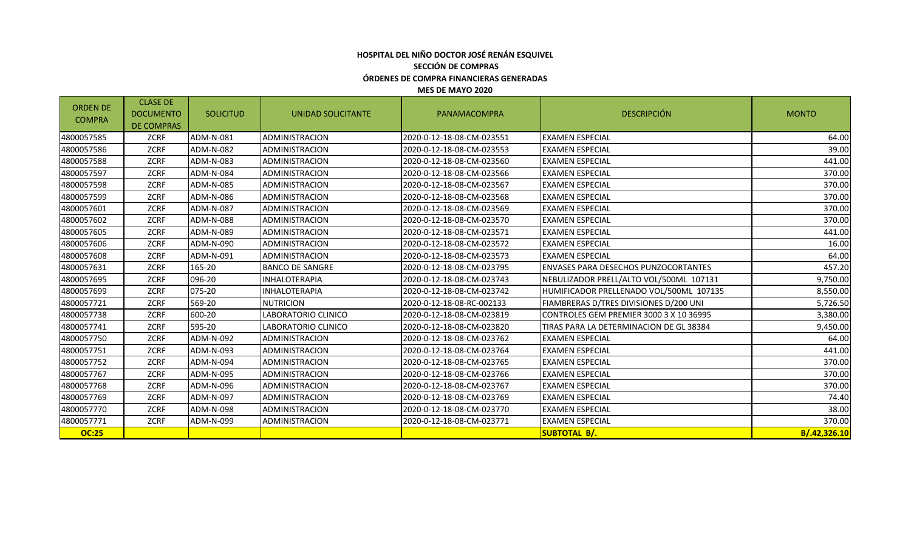### **HOSPITAL DEL NIÑO DOCTOR JOSÉ RENÁN ESQUIVEL SECCIÓN DE COMPRAS ÓRDENES DE COMPRA FINANCIERAS GENERADAS**

#### **MES DE MAYO 2020**

| <b>ORDEN DE</b><br><b>COMPRA</b> | <b>CLASE DE</b><br><b>DOCUMENTO</b><br><b>DE COMPRAS</b> | <b>SOLICITUD</b> | UNIDAD SOLICITANTE     | <b>DESCRIPCIÓN</b><br>PANAMACOMPRA |                                             | <b>MONTO</b> |
|----------------------------------|----------------------------------------------------------|------------------|------------------------|------------------------------------|---------------------------------------------|--------------|
| 4800057585                       | ZCRF                                                     | ADM-N-081        | ADMINISTRACION         | 2020-0-12-18-08-CM-023551          | <b>EXAMEN ESPECIAL</b>                      | 64.00        |
| 4800057586                       | ZCRF                                                     | ADM-N-082        | ADMINISTRACION         | 2020-0-12-18-08-CM-023553          | <b>EXAMEN ESPECIAL</b>                      | 39.00        |
| 4800057588                       | ZCRF                                                     | ADM-N-083        | <b>ADMINISTRACION</b>  | 2020-0-12-18-08-CM-023560          | <b>EXAMEN ESPECIAL</b>                      | 441.00       |
| 4800057597                       | ZCRF                                                     | ADM-N-084        | ADMINISTRACION         | 2020-0-12-18-08-CM-023566          | <b>EXAMEN ESPECIAL</b>                      | 370.00       |
| 4800057598                       | ZCRF                                                     | ADM-N-085        | ADMINISTRACION         | 2020-0-12-18-08-CM-023567          | <b>EXAMEN ESPECIAL</b>                      | 370.00       |
| 4800057599                       | ZCRF                                                     | ADM-N-086        | <b>ADMINISTRACION</b>  | 2020-0-12-18-08-CM-023568          | <b>EXAMEN ESPECIAL</b>                      | 370.00       |
| 4800057601                       | <b>ZCRF</b>                                              | ADM-N-087        | ADMINISTRACION         | 2020-0-12-18-08-CM-023569          | <b>EXAMEN ESPECIAL</b>                      | 370.00       |
| 4800057602                       | ZCRF                                                     | ADM-N-088        | ADMINISTRACION         | 2020-0-12-18-08-CM-023570          | <b>EXAMEN ESPECIAL</b>                      | 370.00       |
| 4800057605                       | <b>ZCRF</b>                                              | ADM-N-089        | <b>ADMINISTRACION</b>  | 2020-0-12-18-08-CM-023571          | <b>EXAMEN ESPECIAL</b>                      | 441.00       |
| 4800057606                       | ZCRF                                                     | ADM-N-090        | ADMINISTRACION         | 2020-0-12-18-08-CM-023572          | <b>EXAMEN ESPECIAL</b>                      | 16.00        |
| 4800057608                       | <b>ZCRF</b>                                              | ADM-N-091        | ADMINISTRACION         | 2020-0-12-18-08-CM-023573          | <b>EXAMEN ESPECIAL</b>                      | 64.00        |
| 4800057631                       | ZCRF                                                     | 165-20           | <b>BANCO DE SANGRE</b> | 2020-0-12-18-08-CM-023795          | <b>ENVASES PARA DESECHOS PUNZOCORTANTES</b> | 457.20       |
| 4800057695                       | <b>ZCRF</b>                                              | 096-20           | <b>INHALOTERAPIA</b>   | 2020-0-12-18-08-CM-023743          | NEBULIZADOR PRELL/ALTO VOL/500ML 107131     | 9,750.00     |
| 4800057699                       | <b>ZCRF</b>                                              | 075-20           | INHALOTERAPIA          | 2020-0-12-18-08-CM-023742          | HUMIFICADOR PRELLENADO VOL/500ML 107135     | 8,550.00     |
| 4800057721                       | <b>ZCRF</b>                                              | 569-20           | <b>NUTRICION</b>       | 2020-0-12-18-08-RC-002133          | FIAMBRERAS D/TRES DIVISIONES D/200 UNI      | 5,726.50     |
| 4800057738                       | <b>ZCRF</b>                                              | 600-20           | LABORATORIO CLINICO    | 2020-0-12-18-08-CM-023819          | CONTROLES GEM PREMIER 3000 3 X 10 36995     | 3,380.00     |
| 4800057741                       | <b>ZCRF</b>                                              | 595-20           | LABORATORIO CLINICO    | 2020-0-12-18-08-CM-023820          | TIRAS PARA LA DETERMINACION DE GL 38384     | 9,450.00     |
| 4800057750                       | ZCRF                                                     | ADM-N-092        | <b>ADMINISTRACION</b>  | 2020-0-12-18-08-CM-023762          | <b>EXAMEN ESPECIAL</b>                      | 64.00        |
| 4800057751                       | <b>ZCRF</b>                                              | ADM-N-093        | <b>ADMINISTRACION</b>  | 2020-0-12-18-08-CM-023764          | <b>EXAMEN ESPECIAL</b>                      | 441.00       |
| 4800057752                       | <b>ZCRF</b>                                              | ADM-N-094        | ADMINISTRACION         | 2020-0-12-18-08-CM-023765          | <b>EXAMEN ESPECIAL</b>                      | 370.00       |
| 4800057767                       | <b>ZCRF</b>                                              | ADM-N-095        | ADMINISTRACION         | 2020-0-12-18-08-CM-023766          | <b>EXAMEN ESPECIAL</b>                      | 370.00       |
| 4800057768                       | ZCRF                                                     | ADM-N-096        | ADMINISTRACION         | 2020-0-12-18-08-CM-023767          | <b>EXAMEN ESPECIAL</b>                      | 370.00       |
| 4800057769                       | <b>ZCRF</b>                                              | ADM-N-097        | <b>ADMINISTRACION</b>  | 2020-0-12-18-08-CM-023769          | <b>EXAMEN ESPECIAL</b>                      | 74.40        |
| 4800057770                       | ZCRF                                                     | ADM-N-098        | ADMINISTRACION         | 2020-0-12-18-08-CM-023770          | <b>EXAMEN ESPECIAL</b>                      | 38.00        |
| 4800057771                       | ZCRF                                                     | ADM-N-099        | <b>ADMINISTRACION</b>  | 2020-0-12-18-08-CM-023771          | <b>EXAMEN ESPECIAL</b>                      | 370.00       |
| <b>OC:25</b>                     |                                                          |                  |                        |                                    | <b>SUBTOTAL B/.</b>                         | B/.42,326.10 |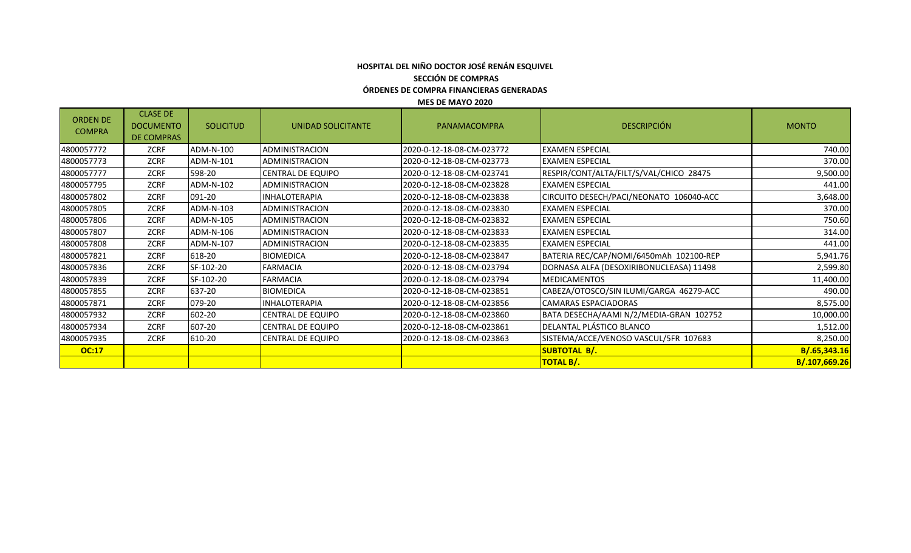#### **ÓRDENES DE COMPRA FINANCIERAS GENERADAS MES DE MAYO 2020 HOSPITAL DEL NIÑO DOCTOR JOSÉ RENÁN ESQUIVEL SECCIÓN DE COMPRAS**

| <b>ORDEN DE</b><br><b>COMPRA</b> | <b>CLASE DE</b><br><b>DOCUMENTO</b><br><b>DE COMPRAS</b> | <b>SOLICITUD</b> | UNIDAD SOLICITANTE       | PANAMACOMPRA              | <b>DESCRIPCIÓN</b>                      | <b>MONTO</b>  |
|----------------------------------|----------------------------------------------------------|------------------|--------------------------|---------------------------|-----------------------------------------|---------------|
| 4800057772                       | ZCRF                                                     | ADM-N-100        | <b>ADMINISTRACION</b>    | 2020-0-12-18-08-CM-023772 | <b>EXAMEN ESPECIAL</b>                  | 740.00        |
| 4800057773                       | ZCRF                                                     | ADM-N-101        | ADMINISTRACION           | 2020-0-12-18-08-CM-023773 | <b>EXAMEN ESPECIAL</b>                  | 370.00        |
| 4800057777                       | ZCRF                                                     | 598-20           | <b>CENTRAL DE EQUIPO</b> | 2020-0-12-18-08-CM-023741 | RESPIR/CONT/ALTA/FILT/S/VAL/CHICO 28475 | 9,500.00      |
| 4800057795                       | ZCRF                                                     | ADM-N-102        | ADMINISTRACION           | 2020-0-12-18-08-CM-023828 | <b>EXAMEN ESPECIAL</b>                  | 441.00        |
| 4800057802                       | ZCRF                                                     | 091-20           | <b>INHALOTERAPIA</b>     | 2020-0-12-18-08-CM-023838 | CIRCUITO DESECH/PACI/NEONATO 106040-ACC | 3,648.00      |
| 4800057805                       | ZCRF                                                     | ADM-N-103        | ADMINISTRACION           | 2020-0-12-18-08-CM-023830 | <b>EXAMEN ESPECIAL</b>                  | 370.00        |
| 4800057806                       | ZCRF                                                     | ADM-N-105        | ADMINISTRACION           | 2020-0-12-18-08-CM-023832 | <b>EXAMEN ESPECIAL</b>                  | 750.60        |
| 4800057807                       | ZCRF                                                     | ADM-N-106        | ADMINISTRACION           | 2020-0-12-18-08-CM-023833 | <b>EXAMEN ESPECIAL</b>                  | 314.00        |
| 4800057808                       | ZCRF                                                     | ADM-N-107        | ADMINISTRACION           | 2020-0-12-18-08-CM-023835 | <b>EXAMEN ESPECIAL</b>                  |               |
| 4800057821                       | ZCRF                                                     | 618-20           | <b>BIOMEDICA</b>         | 2020-0-12-18-08-CM-023847 | BATERIA REC/CAP/NOMI/6450mAh 102100-REP | 5,941.76      |
| 4800057836                       | ZCRF                                                     | SF-102-20        | <b>FARMACIA</b>          | 2020-0-12-18-08-CM-023794 | DORNASA ALFA (DESOXIRIBONUCLEASA) 11498 | 2,599.80      |
| 4800057839                       | ZCRF                                                     | SF-102-20        | <b>FARMACIA</b>          | 2020-0-12-18-08-CM-023794 | <b>MEDICAMENTOS</b>                     | 11,400.00     |
| 4800057855                       | ZCRF                                                     | 637-20           | <b>BIOMEDICA</b>         | 2020-0-12-18-08-CM-023851 | CABEZA/OTOSCO/SIN ILUMI/GARGA 46279-ACC | 490.00        |
| 4800057871                       | ZCRF                                                     | 079-20           | INHALOTERAPIA            | 2020-0-12-18-08-CM-023856 | CAMARAS ESPACIADORAS                    | 8,575.00      |
| 4800057932                       | ZCRF                                                     | 602-20           | <b>CENTRAL DE EQUIPO</b> | 2020-0-12-18-08-CM-023860 | BATA DESECHA/AAMI N/2/MEDIA-GRAN 102752 | 10,000.00     |
| 4800057934                       | ZCRF                                                     | 607-20           | <b>CENTRAL DE EQUIPO</b> | 2020-0-12-18-08-CM-023861 | DELANTAL PLÁSTICO BLANCO                | 1,512.00      |
| 4800057935                       | ZCRF                                                     | 610-20           | <b>CENTRAL DE EQUIPO</b> | 2020-0-12-18-08-CM-023863 | SISTEMA/ACCE/VENOSO VASCUL/5FR 107683   | 8,250.00      |
| <b>OC:17</b>                     |                                                          |                  |                          |                           | SUBTOTAL B/.                            | B/.65,343.16  |
|                                  |                                                          |                  |                          |                           | <b>TOTAL B/.</b>                        | B/.107,669.26 |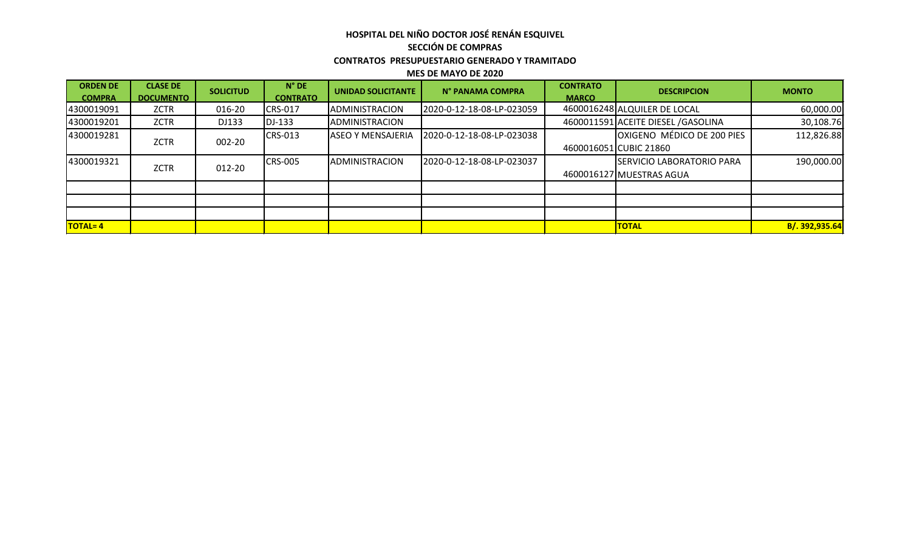## **HOSPITAL DEL NIÑO DOCTOR JOSÉ RENÁN ESQUIVEL SECCIÓN DE COMPRAS CONTRATOS PRESUPUESTARIO GENERADO Y TRAMITADO**

**MES DE MAYO DE 2020**

| <b>ORDEN DE</b><br><b>COMPRA</b> | <b>CLASE DE</b><br><b>DOCUMENTO</b> | <b>SOLICITUD</b> | $N^{\circ}$ DE<br><b>CONTRATO</b> | <b>UNIDAD SOLICITANTE</b> | N° PANAMA COMPRA          | <b>CONTRATO</b><br><b>MARCO</b> | <b>DESCRIPCION</b>                  | <b>MONTO</b>   |
|----------------------------------|-------------------------------------|------------------|-----------------------------------|---------------------------|---------------------------|---------------------------------|-------------------------------------|----------------|
| 4300019091                       | ZCTR                                | 016-20           | <b>CRS-017</b>                    | ADMINISTRACION            | 2020-0-12-18-08-LP-023059 |                                 | 4600016248 ALQUILER DE LOCAL        | 60,000.00      |
| 4300019201                       | <b>ZCTR</b>                         | DJ133            | DJ-133                            | ADMINISTRACION            |                           |                                 | 4600011591 ACEITE DIESEL / GASOLINA | 30,108.76      |
| 4300019281                       |                                     |                  | CRS-013                           | <b>ASEO Y MENSAJERIA</b>  | 2020-0-12-18-08-LP-023038 |                                 | <b>OXIGENO MÉDICO DE 200 PIES</b>   | 112,826.88     |
|                                  | <b>ZCTR</b>                         | 002-20           |                                   |                           |                           |                                 | 4600016051 CUBIC 21860              |                |
| 4300019321                       | <b>ZCTR</b>                         |                  | <b>CRS-005</b>                    | ADMINISTRACION            | 2020-0-12-18-08-LP-023037 |                                 | <b>SERVICIO LABORATORIO PARA</b>    | 190,000.00     |
|                                  |                                     | 012-20           |                                   |                           |                           |                                 | 4600016127 MUESTRAS AGUA            |                |
|                                  |                                     |                  |                                   |                           |                           |                                 |                                     |                |
|                                  |                                     |                  |                                   |                           |                           |                                 |                                     |                |
|                                  |                                     |                  |                                   |                           |                           |                                 |                                     |                |
| <b>TOTAL=4</b>                   |                                     |                  |                                   |                           |                           |                                 | <b>TOTAL</b>                        | B/. 392,935.64 |